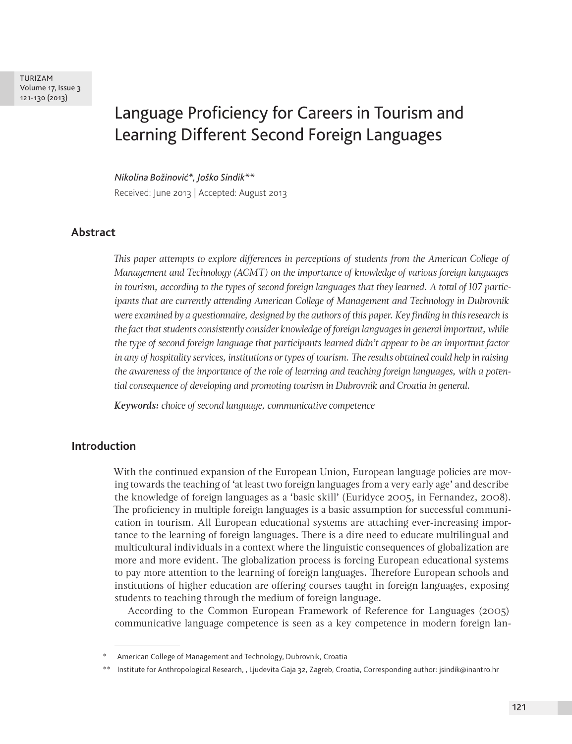# Language Proficiency for Careers in Tourism and Learning Different Second Foreign Languages

*Nikolina Božinović\*, Joško Sindik\*\** Received: June 2013 | Accepted: August 2013

## **Abstract**

*This paper attempts to explore differences in perceptions of students from the American College of Management and Technology (ACMT) on the importance of knowledge of various foreign languages in tourism, according to the types of second foreign languages that they learned. A total of 107 participants that are currently attending American College of Management and Technology in Dubrovnik were examined by a questionnaire, designed by the authors of this paper. Key finding in this research is the fact that students consistently consider knowledge of foreign languages in general important, while the type of second foreign language that participants learned didn't appear to be an important factor in any of hospitality services, institutions or types of tourism. The results obtained could help in raising the awareness of the importance of the role of learning and teaching foreign languages, with a potential consequence of developing and promoting tourism in Dubrovnik and Croatia in general.* 

*Keywords: choice of second language, communicative competence*

### **Introduction**

With the continued expansion of the European Union, European language policies are moving towards the teaching of 'at least two foreign languages from a very early age' and describe the knowledge of foreign languages as a 'basic skill' (Euridyce 2005, in Fernandez, 2008). The proficiency in multiple foreign languages is a basic assumption for successful communication in tourism. All European educational systems are attaching ever-increasing importance to the learning of foreign languages. There is a dire need to educate multilingual and multicultural individuals in a context where the linguistic consequences of globalization are more and more evident. The globalization process is forcing European educational systems to pay more attention to the learning of foreign languages. Therefore European schools and institutions of higher education are offering courses taught in foreign languages, exposing students to teaching through the medium of foreign language.

According to the Common European Framework of Reference for Languages (2005) communicative language competence is seen as a key competence in modern foreign lan-

American College of Management and Technology, Dubrovnik, Croatia

<sup>\*\*</sup> Institute for Anthropological Research, , Ljudevita Gaja 32, Zagreb, Croatia, Corresponding author: jsindik@inantro.hr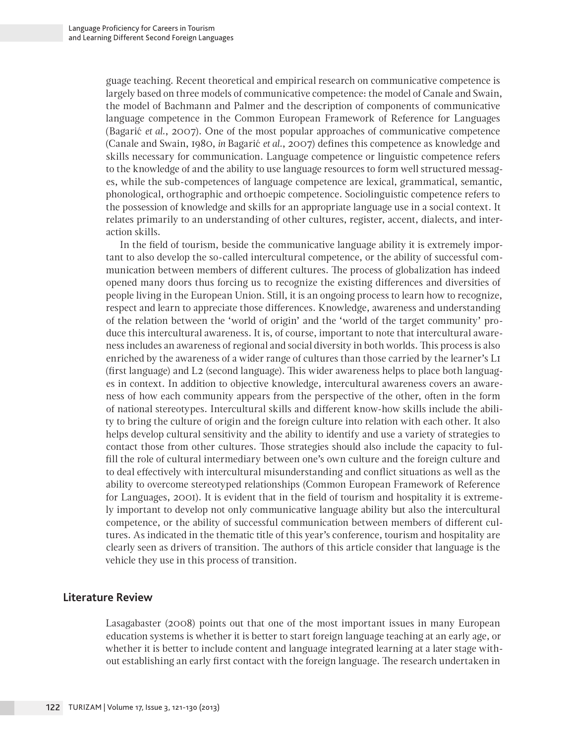guage teaching. Recent theoretical and empirical research on communicative competence is largely based on three models of communicative competence: the model of Canale and Swain, the model of Bachmann and Palmer and the description of components of communicative language competence in the Common European Framework of Reference for Languages (Bagarić *et al.*, 2007). One of the most popular approaches of communicative competence (Canale and Swain, 1980, *in* Bagarić *et al.*, 2007) defines this competence as knowledge and skills necessary for communication. Language competence or linguistic competence refers to the knowledge of and the ability to use language resources to form well structured messages, while the sub-competences of language competence are lexical, grammatical, semantic, phonological, orthographic and orthoepic competence. Sociolinguistic competence refers to the possession of knowledge and skills for an appropriate language use in a social context. It relates primarily to an understanding of other cultures, register, accent, dialects, and interaction skills.

In the field of tourism, beside the communicative language ability it is extremely important to also develop the so-called intercultural competence, or the ability of successful communication between members of different cultures. The process of globalization has indeed opened many doors thus forcing us to recognize the existing differences and diversities of people living in the European Union. Still, it is an ongoing process to learn how to recognize, respect and learn to appreciate those differences. Knowledge, awareness and understanding of the relation between the 'world of origin' and the 'world of the target community' produce this intercultural awareness. It is, of course, important to note that intercultural awareness includes an awareness of regional and social diversity in both worlds. This process is also enriched by the awareness of a wider range of cultures than those carried by the learner's L1 (first language) and L2 (second language). This wider awareness helps to place both languages in context. In addition to objective knowledge, intercultural awareness covers an awareness of how each community appears from the perspective of the other, often in the form of national stereotypes. Intercultural skills and different know-how skills include the ability to bring the culture of origin and the foreign culture into relation with each other. It also helps develop cultural sensitivity and the ability to identify and use a variety of strategies to contact those from other cultures. Those strategies should also include the capacity to fulfill the role of cultural intermediary between one's own culture and the foreign culture and to deal effectively with intercultural misunderstanding and conflict situations as well as the ability to overcome stereotyped relationships (Common European Framework of Reference for Languages, 2001). It is evident that in the field of tourism and hospitality it is extremely important to develop not only communicative language ability but also the intercultural competence, or the ability of successful communication between members of different cultures. As indicated in the thematic title of this year's conference, tourism and hospitality are clearly seen as drivers of transition. The authors of this article consider that language is the vehicle they use in this process of transition.

#### **Literature Review**

Lasagabaster (2008) points out that one of the most important issues in many European education systems is whether it is better to start foreign language teaching at an early age, or whether it is better to include content and language integrated learning at a later stage without establishing an early first contact with the foreign language. The research undertaken in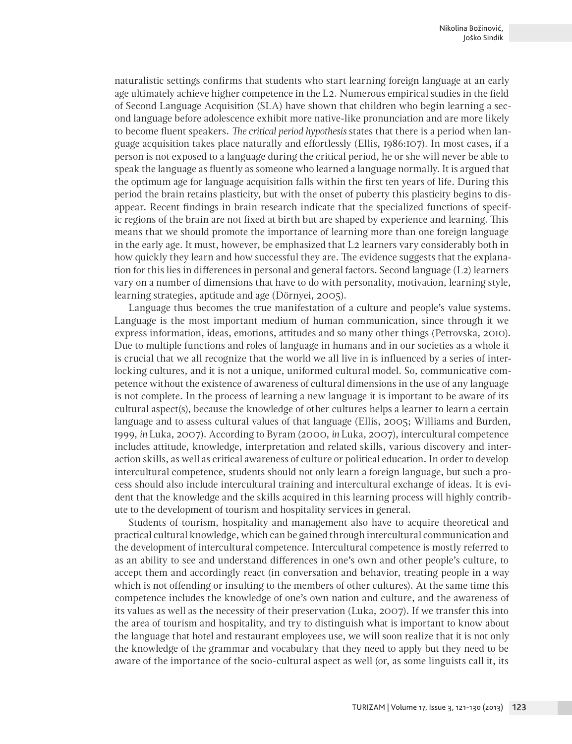naturalistic settings confirms that students who start learning foreign language at an early age ultimately achieve higher competence in the L2. Numerous empirical studies in the field of Second Language Acquisition (SLA) have shown that children who begin learning a second language before adolescence exhibit more native-like pronunciation and are more likely to become fluent speakers. *The critical period hypothesis* states that there is a period when language acquisition takes place naturally and effortlessly (Ellis, 1986:107). In most cases, if a person is not exposed to a language during the critical period, he or she will never be able to speak the language as fluently as someone who learned a language normally. It is argued that the optimum age for language acquisition falls within the first ten years of life. During this period the brain retains plasticity, but with the onset of puberty this plasticity begins to disappear. Recent findings in brain research indicate that the specialized functions of specific regions of the brain are not fixed at birth but are shaped by experience and learning. This means that we should promote the importance of learning more than one foreign language in the early age. It must, however, be emphasized that L2 learners vary considerably both in how quickly they learn and how successful they are. The evidence suggests that the explanation for this lies in differences in personal and general factors. Second language (L2) learners vary on a number of dimensions that have to do with personality, motivation, learning style, learning strategies, aptitude and age (Dörnyei, 2005).

Language thus becomes the true manifestation of a culture and people's value systems. Language is the most important medium of human communication, since through it we express information, ideas, emotions, attitudes and so many other things (Petrovska, 2010). Due to multiple functions and roles of language in humans and in our societies as a whole it is crucial that we all recognize that the world we all live in is influenced by a series of interlocking cultures, and it is not a unique, uniformed cultural model. So, communicative competence without the existence of awareness of cultural dimensions in the use of any language is not complete. In the process of learning a new language it is important to be aware of its cultural aspect(s), because the knowledge of other cultures helps a learner to learn a certain language and to assess cultural values of that language (Ellis, 2005; Williams and Burden, 1999, *in* Luka, 2007). According to Byram (2000, *in* Luka, 2007), intercultural competence includes attitude, knowledge, interpretation and related skills, various discovery and interaction skills, as well as critical awareness of culture or political education. In order to develop intercultural competence, students should not only learn a foreign language, but such a process should also include intercultural training and intercultural exchange of ideas. It is evident that the knowledge and the skills acquired in this learning process will highly contribute to the development of tourism and hospitality services in general.

Students of tourism, hospitality and management also have to acquire theoretical and practical cultural knowledge, which can be gained through intercultural communication and the development of intercultural competence. Intercultural competence is mostly referred to as an ability to see and understand differences in one's own and other people's culture, to accept them and accordingly react (in conversation and behavior, treating people in a way which is not offending or insulting to the members of other cultures). At the same time this competence includes the knowledge of one's own nation and culture, and the awareness of its values as well as the necessity of their preservation (Luka, 2007). If we transfer this into the area of tourism and hospitality, and try to distinguish what is important to know about the language that hotel and restaurant employees use, we will soon realize that it is not only the knowledge of the grammar and vocabulary that they need to apply but they need to be aware of the importance of the socio-cultural aspect as well (or, as some linguists call it, its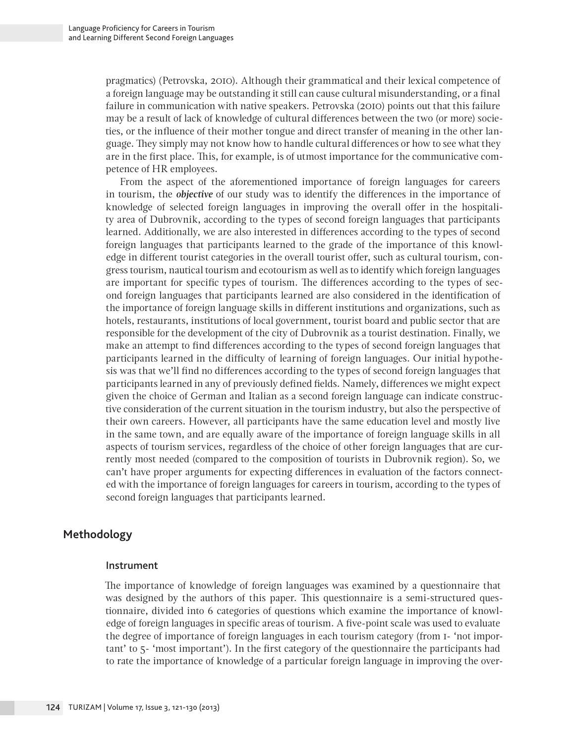pragmatics) (Petrovska, 2010). Although their grammatical and their lexical competence of a foreign language may be outstanding it still can cause cultural misunderstanding, or a final failure in communication with native speakers. Petrovska (2010) points out that this failure may be a result of lack of knowledge of cultural differences between the two (or more) societies, or the influence of their mother tongue and direct transfer of meaning in the other language. They simply may not know how to handle cultural differences or how to see what they are in the first place. This, for example, is of utmost importance for the communicative competence of HR employees.

From the aspect of the aforementioned importance of foreign languages for careers in tourism, the *objective* of our study was to identify the differences in the importance of knowledge of selected foreign languages in improving the overall offer in the hospitality area of Dubrovnik, according to the types of second foreign languages that participants learned. Additionally, we are also interested in differences according to the types of second foreign languages that participants learned to the grade of the importance of this knowledge in different tourist categories in the overall tourist offer, such as cultural tourism, congress tourism, nautical tourism and ecotourism as well as to identify which foreign languages are important for specific types of tourism. The differences according to the types of second foreign languages that participants learned are also considered in the identification of the importance of foreign language skills in different institutions and organizations, such as hotels, restaurants, institutions of local government, tourist board and public sector that are responsible for the development of the city of Dubrovnik as a tourist destination. Finally, we make an attempt to find differences according to the types of second foreign languages that participants learned in the difficulty of learning of foreign languages. Our initial hypothesis was that we'll find no differences according to the types of second foreign languages that participants learned in any of previously defined fields. Namely, differences we might expect given the choice of German and Italian as a second foreign language can indicate constructive consideration of the current situation in the tourism industry, but also the perspective of their own careers. However, all participants have the same education level and mostly live in the same town, and are equally aware of the importance of foreign language skills in all aspects of tourism services, regardless of the choice of other foreign languages that are currently most needed (compared to the composition of tourists in Dubrovnik region). So, we can't have proper arguments for expecting differences in evaluation of the factors connected with the importance of foreign languages for careers in tourism, according to the types of second foreign languages that participants learned.

# **Methodology**

#### Instrument

The importance of knowledge of foreign languages was examined by a questionnaire that was designed by the authors of this paper. This questionnaire is a semi-structured questionnaire, divided into 6 categories of questions which examine the importance of knowledge of foreign languages in specific areas of tourism. A five-point scale was used to evaluate the degree of importance of foreign languages in each tourism category (from 1- 'not important' to 5- 'most important'). In the first category of the questionnaire the participants had to rate the importance of knowledge of a particular foreign language in improving the over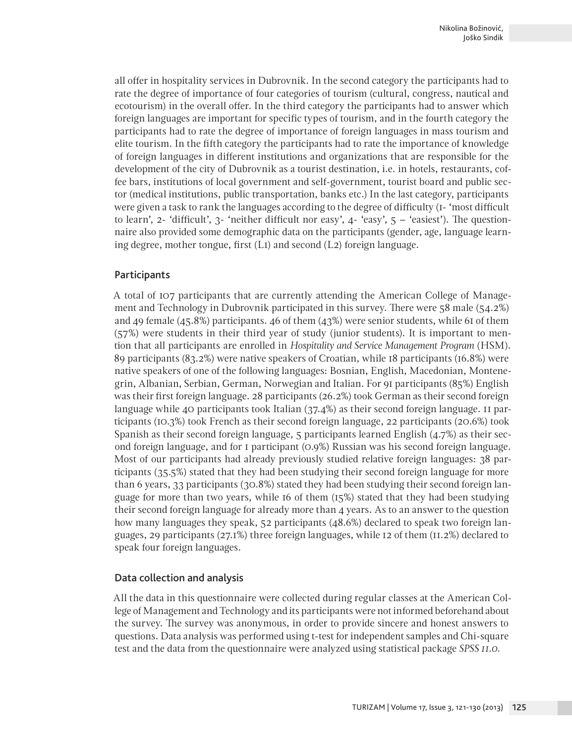all offer in hospitality services in Dubrovnik. In the second category the participants had to rate the degree of importance of four categories of tourism (cultural, congress, nautical and ecotourism) in the overall offer. In the third category the participants had to answer which foreign languages are important for specific types of tourism, and in the fourth category the participants had to rate the degree of importance of foreign languages in mass tourism and elite tourism. In the fifth category the participants had to rate the importance of knowledge of foreign languages in different institutions and organizations that are responsible for the development of the city of Dubrovnik as a tourist destination, i.e. in hotels, restaurants, coffee bars, institutions of local government and self-government, tourist board and public sector (medical institutions, public transportation, banks etc.) In the last category, participants were given a task to rank the languages according to the degree of difficulty (1- 'most difficult to learn', 2- 'difficult', 3- 'neither difficult nor easy',  $4$ - 'easy',  $5 -$  'easiest'). The questionnaire also provided some demographic data on the participants (gender, age, language learning degree, mother tongue, first (L1) and second (L2) foreign language.

#### **Participants**

A total of 107 participants that are currently attending the American College of Management and Technology in Dubrovnik participated in this survey. There were 58 male (54.2%) and 49 female (45.8%) participants. 46 of them (43%) were senior students, while 61 of them (57%) were students in their third year of study (junior students). It is important to mention that all participants are enrolled in *Hospitality and Service Management Program* (HSM). 89 participants (83.2%) were native speakers of Croatian, while 18 participants (16.8%) were native speakers of one of the following languages: Bosnian, English, Macedonian, Montenegrin, Albanian, Serbian, German, Norwegian and Italian. For 91 participants (85%) English was their first foreign language. 28 participants (26.2%) took German as their second foreign language while 40 participants took Italian (37.4%) as their second foreign language. 11 participants (10.3%) took French as their second foreign language, 22 participants (20.6%) took Spanish as their second foreign language, 5 participants learned English (4.7%) as their second foreign language, and for 1 participant (0.9%) Russian was his second foreign language. Most of our participants had already previously studied relative foreign languages: 38 participants (35.5%) stated that they had been studying their second foreign language for more than 6 years, 33 participants (30.8%) stated they had been studying their second foreign language for more than two years, while 16 of them (15%) stated that they had been studying their second foreign language for already more than 4 years. As to an answer to the question how many languages they speak, 52 participants (48.6%) declared to speak two foreign languages, 29 participants (27.1%) three foreign languages, while 12 of them (11.2%) declared to speak four foreign languages.

#### Data collection and analysis

All the data in this questionnaire were collected during regular classes at the American College of Management and Technology and its participants were not informed beforehand about the survey. The survey was anonymous, in order to provide sincere and honest answers to questions. Data analysis was performed using t-test for independent samples and Chi-square test and the data from the questionnaire were analyzed using statistical package *SPSS 11.0.*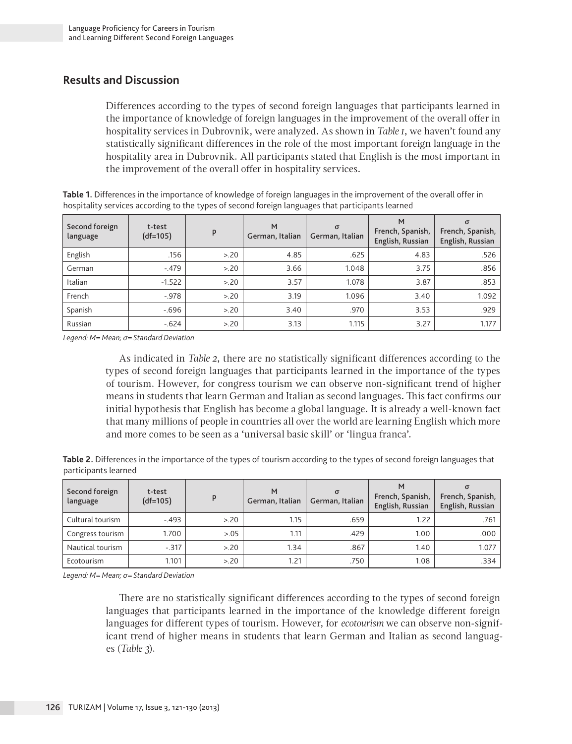# **Results and Discussion**

Differences according to the types of second foreign languages that participants learned in the importance of knowledge of foreign languages in the improvement of the overall offer in hospitality services in Dubrovnik, were analyzed. As shown in *Table 1*, we haven't found any statistically significant differences in the role of the most important foreign language in the hospitality area in Dubrovnik. All participants stated that English is the most important in the improvement of the overall offer in hospitality services.

**Table 1.** Differences in the importance of knowledge of foreign languages in the improvement of the overall offer in hospitality services according to the types of second foreign languages that participants learned

| Second foreign<br>language | t-test<br>$(df=105)$ | P    | M<br>German, Italian | $\sigma$<br>German, Italian | м<br>French, Spanish,<br>English, Russian | σ<br>French, Spanish,<br>English, Russian |
|----------------------------|----------------------|------|----------------------|-----------------------------|-------------------------------------------|-------------------------------------------|
| English                    | .156                 | > 20 | 4.85                 | .625                        | 4.83                                      | .526                                      |
| German                     | $-.479$              | > 20 | 3.66                 | 1.048                       | 3.75                                      | .856                                      |
| Italian                    | $-1.522$             | > 20 | 3.57                 | 1.078                       | 3.87                                      | .853                                      |
| French                     | $-.978$              | > 20 | 3.19                 | 1.096                       | 3.40                                      | 1.092                                     |
| Spanish                    | $-696$               | > 20 | 3.40                 | .970                        | 3.53                                      | .929                                      |
| Russian                    | $-.624$              | > 20 | 3.13                 | 1.115                       | 3.27                                      | 1.177                                     |

*Legend: M= Mean; σ= Standard Deviation*

As indicated in *Table 2*, there are no statistically significant differences according to the types of second foreign languages that participants learned in the importance of the types of tourism. However, for congress tourism we can observe non-significant trend of higher means in students that learn German and Italian as second languages. This fact confirms our initial hypothesis that English has become a global language. It is already a well-known fact that many millions of people in countries all over the world are learning English which more and more comes to be seen as a 'universal basic skill' or 'lingua franca'.

| Table 2. Differences in the importance of the types of tourism according to the types of second foreign languages that |  |
|------------------------------------------------------------------------------------------------------------------------|--|
| participants learned                                                                                                   |  |

| Second foreign<br>language | t-test<br>$(df=105)$ | p     | M<br>German, Italian | $\sigma$<br>German, Italian | French, Spanish,<br>English, Russian | French, Spanish,<br>English, Russian |
|----------------------------|----------------------|-------|----------------------|-----------------------------|--------------------------------------|--------------------------------------|
| Cultural tourism           | $-.493$              | > 20  | 1.15                 | .659                        | 1.22                                 | .761                                 |
| Congress tourism           | 1.700                | >0.05 | 1.11                 | .429                        | 1.00                                 | .000                                 |
| Nautical tourism           | $-317$               | > 20  | 1.34                 | .867                        | 1.40                                 | 1.077                                |
| Ecotourism                 | 1.101                | > 20  | 1.21                 | .750                        | 1.08                                 | .334                                 |

*Legend: M= Mean; σ= Standard Deviation*

There are no statistically significant differences according to the types of second foreign languages that participants learned in the importance of the knowledge different foreign languages for different types of tourism. However, for *ecotourism* we can observe non-significant trend of higher means in students that learn German and Italian as second languages (*Table 3*).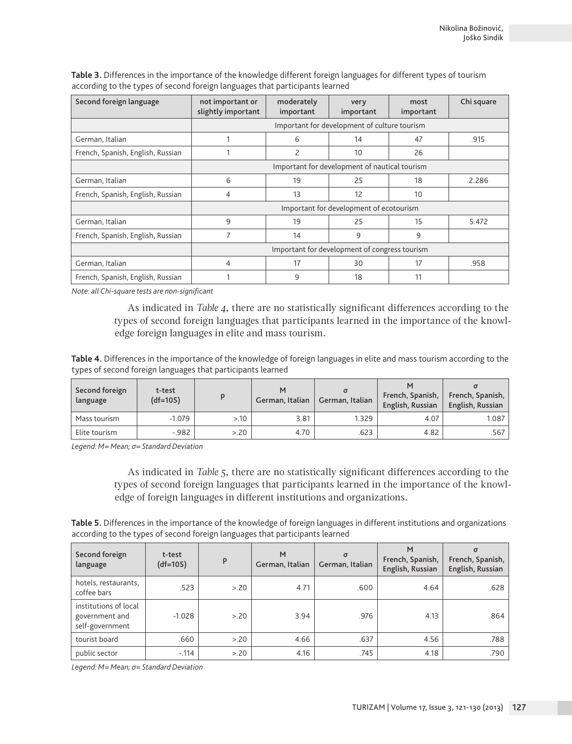| Second foreign language           | not important or<br>moderately<br>slightly important<br>important |                                              | very<br>important                             | most<br>important | Chi square |  |  |
|-----------------------------------|-------------------------------------------------------------------|----------------------------------------------|-----------------------------------------------|-------------------|------------|--|--|
|                                   |                                                                   | Important for development of culture tourism |                                               |                   |            |  |  |
| German, Italian                   |                                                                   | 6                                            | 14                                            | 47                | .915       |  |  |
| French, Spanish, English, Russian |                                                                   | 2                                            | 10                                            | 26                |            |  |  |
|                                   |                                                                   |                                              | Important for development of nautical tourism |                   |            |  |  |
| German, Italian                   | 6                                                                 | 19                                           | 25                                            | 18                | 2.286      |  |  |
| French, Spanish, English, Russian | 4                                                                 | 13                                           | 12                                            | 10                |            |  |  |
|                                   | Important for development of ecotourism                           |                                              |                                               |                   |            |  |  |
| German, Italian                   | 9                                                                 | 19                                           | 25                                            | 15                | 5.472      |  |  |
| French, Spanish, English, Russian | 7                                                                 | 14                                           | 9                                             | 9                 |            |  |  |
|                                   | Important for development of congress tourism                     |                                              |                                               |                   |            |  |  |
| German, Italian                   | 4                                                                 | 17                                           | 30                                            | 17                | .958       |  |  |
| French, Spanish, English, Russian |                                                                   | 9                                            | 18                                            | 11                |            |  |  |

**Table 3.** Differences in the importance of the knowledge different foreign languages for different types of tourism according to the types of second foreign languages that participants learned

*Note: all Chi-square tests are non-significant*

As indicated in *Table 4*, there are no statistically significant differences according to the types of second foreign languages that participants learned in the importance of the knowledge foreign languages in elite and mass tourism.

**Table 4.** Differences in the importance of the knowledge of foreign languages in elite and mass tourism according to the types of second foreign languages that participants learned

| Second foreign<br>language | t-test<br>$(df=105)$ |      | м<br>German, Italian | German, Italian | French, Spanish,<br>English, Russian | French, Spanish,<br>English, Russian |
|----------------------------|----------------------|------|----------------------|-----------------|--------------------------------------|--------------------------------------|
| Mass tourism               | $-1.079$             | >10  | 3.81                 | 1.329           | 4.07                                 | 1.087                                |
| Elite tourism              | $-982$               | > 20 | 4.70                 | .623            | 4.82                                 | .567 l                               |

*Legend: M= Mean; σ= Standard Deviation*

As indicated in *Table 5*, there are no statistically significant differences according to the types of second foreign languages that participants learned in the importance of the knowledge of foreign languages in different institutions and organizations.

**Table 5.** Differences in the importance of the knowledge of foreign languages in different institutions and organizations according to the types of second foreign languages that participants learned

| Second foreign<br>language                                 | t-test<br>$(df=105)$ | P    | M<br>German, Italian | $\sigma$<br>German, Italian | M<br>French, Spanish,<br>English, Russian | $\sigma$<br>French, Spanish,<br>English, Russian |
|------------------------------------------------------------|----------------------|------|----------------------|-----------------------------|-------------------------------------------|--------------------------------------------------|
| hotels, restaurants,<br>coffee bars                        | .523                 | > 20 | 4.71                 | .600                        | 4.64                                      | .628                                             |
| institutions of local<br>government and<br>self-government | $-1.028$             | > 20 | 3.94                 | .976                        | 4.13                                      | .864                                             |
| tourist board                                              | .660                 | > 20 | 4.66                 | .637                        | 4.56                                      | .788                                             |
| public sector                                              | $-0.114$             | > 20 | 4.16                 | .745                        | 4.18                                      | .790                                             |

*Legend: M= Mean; σ= Standard Deviation*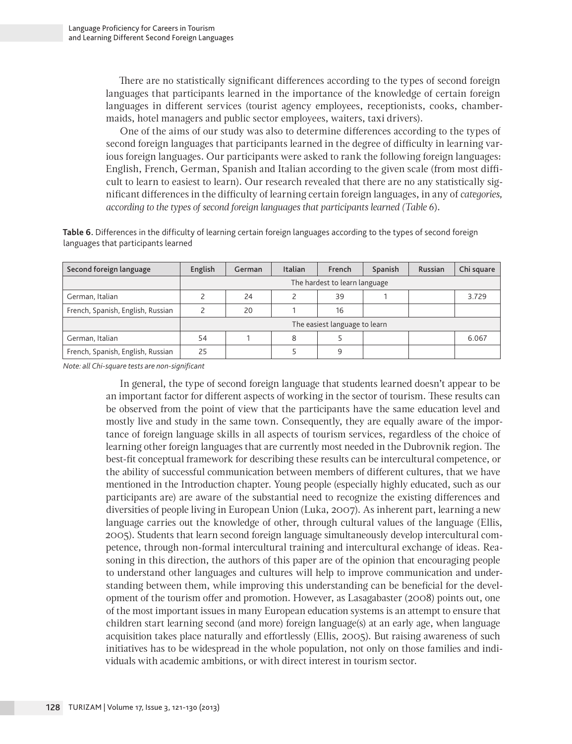There are no statistically significant differences according to the types of second foreign languages that participants learned in the importance of the knowledge of certain foreign languages in different services (tourist agency employees, receptionists, cooks, chambermaids, hotel managers and public sector employees, waiters, taxi drivers).

One of the aims of our study was also to determine differences according to the types of second foreign languages that participants learned in the degree of difficulty in learning various foreign languages. Our participants were asked to rank the following foreign languages: English, French, German, Spanish and Italian according to the given scale (from most difficult to learn to easiest to learn). Our research revealed that there are no any statistically significant differences in the difficulty of learning certain foreign languages, in any of *categories, according to the types of second foreign languages that participants learned (Table 6*).

**Table 6.** Differences in the difficulty of learning certain foreign languages according to the types of second foreign languages that participants learned

| Second foreign language           | English                       | German | Italian | French                        | Spanish | Russian | Chi square |
|-----------------------------------|-------------------------------|--------|---------|-------------------------------|---------|---------|------------|
|                                   | The hardest to learn language |        |         |                               |         |         |            |
| German, Italian                   |                               | 24     |         | 39                            |         |         | 3.729      |
| French, Spanish, English, Russian |                               | 20     |         | 16                            |         |         |            |
|                                   |                               |        |         | The easiest language to learn |         |         |            |
| German, Italian                   | 54                            |        | 8       |                               |         |         | 6.067      |
| French, Spanish, English, Russian | 25                            |        |         | 9                             |         |         |            |

*Note: all Chi-square tests are non-significant*

In general, the type of second foreign language that students learned doesn't appear to be an important factor for different aspects of working in the sector of tourism. These results can be observed from the point of view that the participants have the same education level and mostly live and study in the same town. Consequently, they are equally aware of the importance of foreign language skills in all aspects of tourism services, regardless of the choice of learning other foreign languages that are currently most needed in the Dubrovnik region. The best-fit conceptual framework for describing these results can be intercultural competence, or the ability of successful communication between members of different cultures, that we have mentioned in the Introduction chapter. Young people (especially highly educated, such as our participants are) are aware of the substantial need to recognize the existing differences and diversities of people living in European Union (Luka, 2007). As inherent part, learning a new language carries out the knowledge of other, through cultural values of the language (Ellis, 2005). Students that learn second foreign language simultaneously develop intercultural competence, through non-formal intercultural training and intercultural exchange of ideas. Reasoning in this direction, the authors of this paper are of the opinion that encouraging people to understand other languages and cultures will help to improve communication and understanding between them, while improving this understanding can be beneficial for the development of the tourism offer and promotion. However, as Lasagabaster (2008) points out, one of the most important issues in many European education systems is an attempt to ensure that children start learning second (and more) foreign language(s) at an early age, when language acquisition takes place naturally and effortlessly (Ellis, 2005). But raising awareness of such initiatives has to be widespread in the whole population, not only on those families and individuals with academic ambitions, or with direct interest in tourism sector.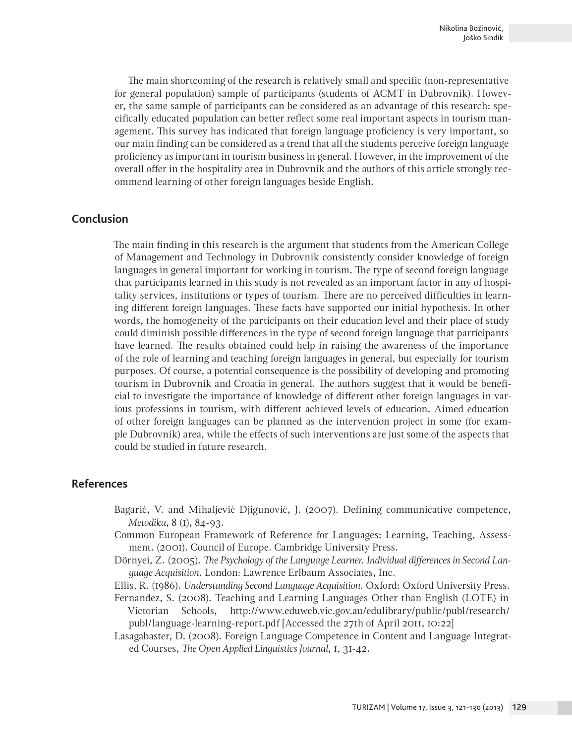The main shortcoming of the research is relatively small and specific (non-representative for general population) sample of participants (students of ACMT in Dubrovnik). However, the same sample of participants can be considered as an advantage of this research: specifically educated population can better reflect some real important aspects in tourism management. This survey has indicated that foreign language proficiency is very important, so our main finding can be considered as a trend that all the students perceive foreign language proficiency as important in tourism business in general. However, in the improvement of the overall offer in the hospitality area in Dubrovnik and the authors of this article strongly recommend learning of other foreign languages beside English.

## **Conclusion**

The main finding in this research is the argument that students from the American College of Management and Technology in Dubrovnik consistently consider knowledge of foreign languages in general important for working in tourism. The type of second foreign language that participants learned in this study is not revealed as an important factor in any of hospitality services, institutions or types of tourism. There are no perceived difficulties in learning different foreign languages. These facts have supported our initial hypothesis. In other words, the homogeneity of the participants on their education level and their place of study could diminish possible differences in the type of second foreign language that participants have learned. The results obtained could help in raising the awareness of the importance of the role of learning and teaching foreign languages in general, but especially for tourism purposes. Of course, a potential consequence is the possibility of developing and promoting tourism in Dubrovnik and Croatia in general. The authors suggest that it would be beneficial to investigate the importance of knowledge of different other foreign languages in various professions in tourism, with different achieved levels of education. Aimed education of other foreign languages can be planned as the intervention project in some (for example Dubrovnik) area, while the effects of such interventions are just some of the aspects that could be studied in future research.

#### **References**

- Bagarić, V. and Mihaljević Djigunović, J. (2007). Defining communicative competence, *Metodika*, 8 (1), 84-93.
- Common European Framework of Reference for Languages: Learning, Teaching, Assessment. (2001). Council of Europe. Cambridge University Press.
- Dörnyei, Z. (2005). *The Psychology of the Language Learner. Individual differences in Second Language Acquisition*. London: Lawrence Erlbaum Associates, Inc.

Ellis, R. (1986). *Understanding Second Language Acquisition*. Oxford: Oxford University Press.

- Fernandez, S. (2008). Teaching and Learning Languages Other than English (LOTE) in Victorian Schools, http://www.eduweb.vic.gov.au/edulibrary/public/publ/research/ publ/language-learning-report.pdf [Accessed the 27th of April 2011, 10:22]
- Lasagabaster, D. (2008). Foreign Language Competence in Content and Language Integrated Courses, *The Open Applied Linguistics Journal*, 1, 31-42.